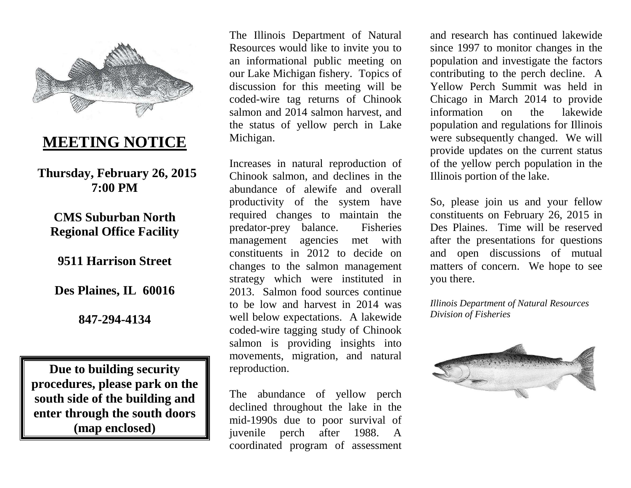

# **MEETING NOTICE**

**Thursday, February 26, 2015 7:00 PM** 

## **CMS Suburban North Regional Office Facility**

**9511 Harrison Street** 

**Des Plaines, IL 60016** 

**847-294-4134** 

**Due to building security procedures, please park on the south side of the building and enter through the south doors (map enclosed)**

The Illinois Department of Natural Resources would like to invite you to an informational public meeting on our Lake Michigan fishery. Topics of discussion for this meeting will be coded-wire tag returns of Chinook salmon and 2014 salmon harvest, and the status of yellow perch in Lake Michigan.

Increases in natural reproduction of Chinook salmon, and declines in the abundance of alewife and overall productivity of the system have required changes to maintain the predator-prey balance. Fisheries management agencies met with constituents in 2012 to decide on changes to the salmon management strategy which were instituted in 2013. Salmon food sources continue to be low and harvest in 2014 was well below expectations. A lakewide coded-wire tagging study of Chinook salmon is providing insights into movements, migration, and natural reproduction.

The abundance of yellow perch declined throughout the lake in the mid-1990s due to poor survival of juvenile perch after 1988. A coordinated program of assessment

and research has continued lakewide since 1997 to monitor changes in the population and investigate the factors contributing to the perch decline. A Yellow Perch Summit was held in Chicago in March 2014 to provide lakewide information on the population and regulations for Illinois were subsequently changed. We will provide updates on the current status of the yellow perch population in the Illinois portion of the lake.

So, please join us and your fellow constituents on February 26, 2015 in Des Plaines. Time will be reserved after the presentations for questions and open discussions of mutual matters of concern. We hope to see you there.

*Illinois Department of Natural Resources Division of Fisheries*

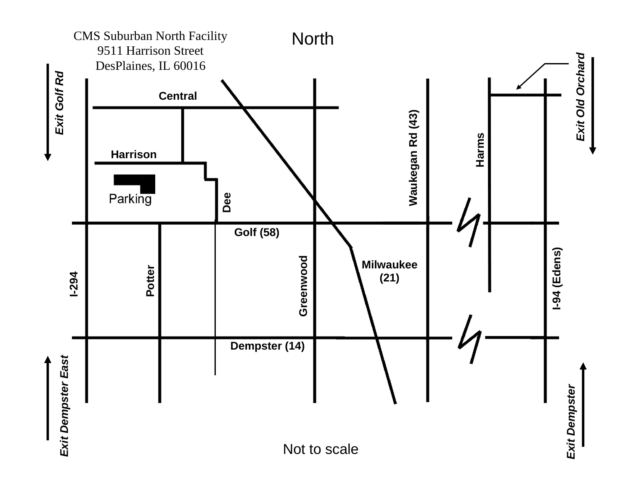